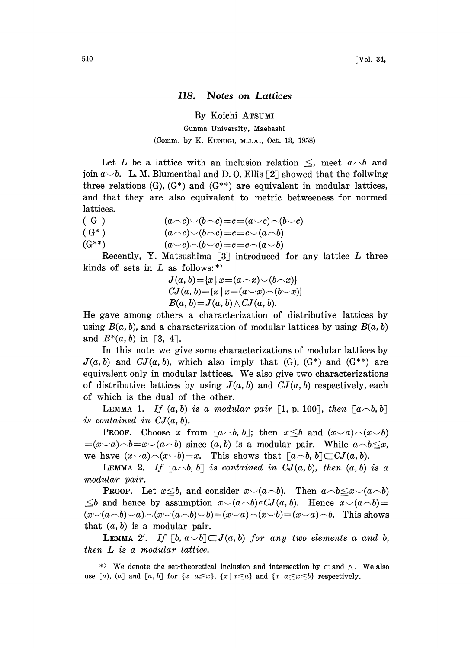## 118. Notes on Lattices

By Koichi ATSUMI

## Gunma University, Maebashi (Comm. by K. KUNUGI, M.J.A., Oct. 13, 1958)

Let L be a lattice with an inclusion relation  $\leq$ , meet  $a \neg b$  and join  $a \setminus b$ . L.M. Blumenthal and D.O. Ellis [2] showed that the follwing three relations  $(G)$ ,  $(G^*)$  and  $(G^{**})$  are equivalent in modular lattices, and that they are also equivalent to metric betweeness for normed lattices.

(G)  $(a\cap c)\smile(b\cap c)=c=(a\smile c)\cap(b\smile c)$ 

(G\*)  $(a-c)\smile(b-c)=c=c\smile(a-b)$ <br>  $(a\smile c)\smile(b-c)=c=c\smile(a\smile b)$  $(a \cup c) \cap (b \cup c) = c = c \cap (a \cup b)$ 

Recently, Y. Matsushima  $\lceil 3 \rceil$  introduced for any lattice L three kinds of sets in  $L$  as follows: \*)

> $J(a, b) = {x | x = (a \cap x) \cup (b \cap x)}$  $CJ(a, b) = \{x \mid x = (a \smile x) \frown (b \smile x)\}$  $B(a, b)=J(a, b) \wedge CJ(a, b).$

He gave among others a characterization of distributive lattices by using  $B(a, b)$ , and a characterization of modular lattices by using  $B(a, b)$ and  $B^*(a, b)$  in [3, 4].

In this note we give some characterizations of modular lattices by  $J(a, b)$  and  $CJ(a, b)$ , which also imply that (G), (G<sup>\*</sup>) and (G<sup>\*\*</sup>) are equivalent only in modular lattices. We also give two characterizations of distributive lattices by using  $J(a, b)$  and  $CJ(a, b)$  respectively, each of which is the dual of the other.

LEMMA 1. If  $(a, b)$  is a modular pair [1, p. 100], then  $[a \neg b, b]$ is contained in  $CJ(a, b)$ .

**PROOF.** Choose x from  $[a \neg b, b]$ ; then  $x \leq b$  and  $(x \vee a) \neg (x \vee b)$  $=(x-a)-b=x-(a-b)$  since  $(a, b)$  is a modular pair. While  $a-b\leq x$ , we have  $(x \neg a) \neg (x \neg b) = x$ . This shows that  $[a \neg b, b] \neg C J(a, b)$ .

**LEMMA 2.** If  $[a \neg b, b]$  is contained in  $CI(a, b)$ , then  $(a, b)$  is a modular pair.

**PROOF.** Let  $x \leq b$ , and consider  $x \vee (a \wedge b)$ . Then  $a \wedge b \leq x \vee (a \wedge b)$  $\leq b$  and hence by assumption  $x\vee(a\wedge b)\in CJ(a, b)$ . Hence  $x\vee(a\wedge b)=$  $(x\vee(a\wedge b)\vee a)\wedge(x\vee(a\wedge b)\vee b)=(x\vee a)\wedge(x\vee b)=(x\vee a)\wedge b$ . This shows that  $(a, b)$  is a modular pair.

**LEMMA** 2'. If  $[b, a \cup b] \subset J(a, b)$  for any two elements a and b, then L is a modular lattice.

<sup>\*)</sup> We denote the set-theoretical inclusion and intersection by  $\subset$  and  $\wedge$ . We also use [a), (a] and [a, b] for  $\{x \mid a \le x\}$ ,  $\{x \mid x \le a\}$  and  $\{x \mid a \le x \le b\}$  respectively.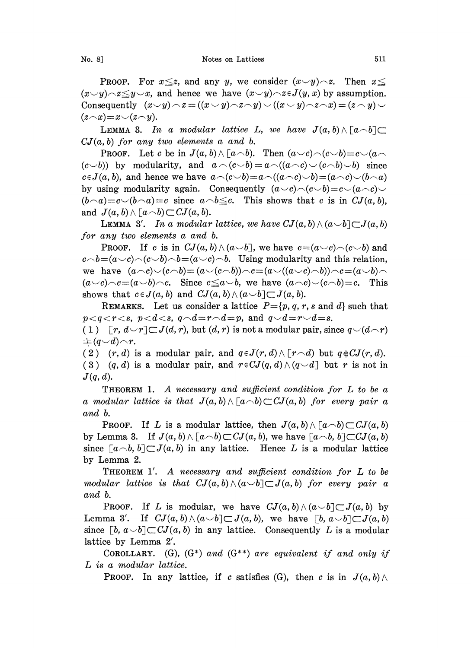No. 8] Notes on Lattices 511

**PROOF.** For  $x \leq z$ , and any y, we consider  $(x \vee y) \wedge z$ . Then  $x \leq z$  $(x \vee y) \wedge z \leq y \vee x$ , and hence we have  $(x \vee y) \wedge z \in J(y, x)$  by assumption. Consequently  $(x \smile y) \neg z = ((x \smile y) \neg z \neg y) \smile ((x \smile y) \neg z \neg x) = (z \neg y) \smile$  $(z\widehat{\phantom{a}}\!\!\!\!\!\!x) = x\widehat{\phantom{a}}\!\!\!\!\!\!x\widehat{\phantom{a}}\!\!\!\!\!\!x\widehat{\phantom{a}}\!\!\!\!\!\!x)$ 

**LEMMA 3.** In a modular lattice L, we have  $J(a, b) \wedge [a \wedge b] \subset$  $CJ(a, b)$  for any two elements a and b.

**PROOF.** Let c be in  $J(a, b) \wedge [a \wedge b]$ . Then  $(a \vee c) \wedge (c \vee b) = c \vee (a \wedge c)$  $(c\smile b)$  by modularity, and  $a \wedge (c\smile b) = a \wedge ((a \wedge c) \smile (c \wedge b) \smile b)$  since  $c\in J(a, b)$ , and hence we have  $a\(\langle c\cup b\rangle=a\(\langle a\cap c\rangle\cup b)=(a\cap c)\cup(b\cap a)$ by using modularity again. Consequently  $(a\smile c)\smile(c\smile b)=c\smile(a\smile c)\smile c$  $(b\cap a)=c\vee(b\cap a)=c$  since  $a\cap b\leq c$ . This shows that c is in  $CJ(a, b)$ , and  $J(a, b) \wedge [a \neg b] \subset \mathbb{C}J(a, b).$ 

LEMMA 3'. In a modular lattice, we have  $CJ(a, b) \wedge (a \smile b) \subset J(a, b)$ for any two elements a and b.

**PROOF.** If c is in  $CJ(a, b) \wedge (a \smile b)$ , we have  $c = (a \smile c) \wedge (c \smile b)$  and  $c \wedge b = (a \vee c) \wedge (c \vee b) \wedge b = (a \vee c) \wedge b$ . Using modularity and this relation, we have  $(a\wedge c)\vee(c\wedge b)=(a\vee(c\wedge b))\wedge c=(a\vee((a\vee c)\wedge b))\wedge c=(a\vee b)\wedge$  $(a\smile c)\smile c=(a\smile b)\smile c.$  Since  $c\leq a\smile b$ , we have  $(a\smile c)\smile (c\smile b)=c.$  This shows that  $c \in J(a, b)$  and  $CJ(a, b) \wedge (a \cup b) \subset J(a, b)$ .

REMARKS. Let us consider a lattice  $P = \{p, q, r, s \text{ and } d\}$  such that  $p < q < r < s$ ,  $p < d < s$ ,  $q \neg d = r \neg d = p$ , and  $q \neg d = r \neg d = s$ .

(1)  $[r, d\vee r]\subset J(d, r)$ , but  $(d, r)$  is not a modular pair, since  $q\vee(d\wedge r)$  $\begin{array}{c}\n\pm (q\smile d)\!\frown\! r.\n\end{array}$ 

(2)  $(r, d)$  is a modular pair, and  $q \in J(r, d) \wedge [r \neg d)$  but  $q \notin CJ(r, d)$ . (3) (q, d) is a modular pair, and  $r \in CJ(q, d) \wedge (q \cup d)$  but r is not in  $J(q, d)$ .

**THEOREM 1.** A necessary and sufficient condition for  $L$  to be a a modular lattice is that  $J(a, b) \wedge [a \wedge b] \subset CJ(a, b)$  for every pair a and b.

**PROOF.** If L is a modular lattice, then  $J(a, b) \wedge [a \wedge b] \subset CJ(a, b)$ by Lemma 3. If  $J(a, b) \wedge [a \wedge b] \subset CJ(a, b)$ , we have  $[a \wedge b, b] \subset CJ(a, b)$ since  $[a \neg b, b] \subset J(a, b)$  in any lattice. Hence L is a modular lattice by Lemma 2.

THEOREM 1'. A necessary and sufficient condition for L to be modular lattice is that  $CJ(a, b) \wedge (a \cup b) \subset J(a, b)$  for every pair a and b.

**PROOF.** If L is modular, we have  $CJ(a, b) \wedge (a \smile b) \subset J(a, b)$  by Lemma 3'. If  $CJ(a, b) \wedge (a \smile b) \subset J(a, b)$ , we have  $[b, a \smile b] \subset J(a, b)$ since  $[b, a \cup b] \subset CJ(a, b)$  in any lattice. Consequently L is a modular lattice by Lemma 2'.

COROLLARY. (G),  $(G^*)$  and  $(G^{**})$  are equivalent if and only if L is a modular lattice.

**PROOF.** In any lattice, if c satisfies (G), then c is in  $J(a, b) \wedge$